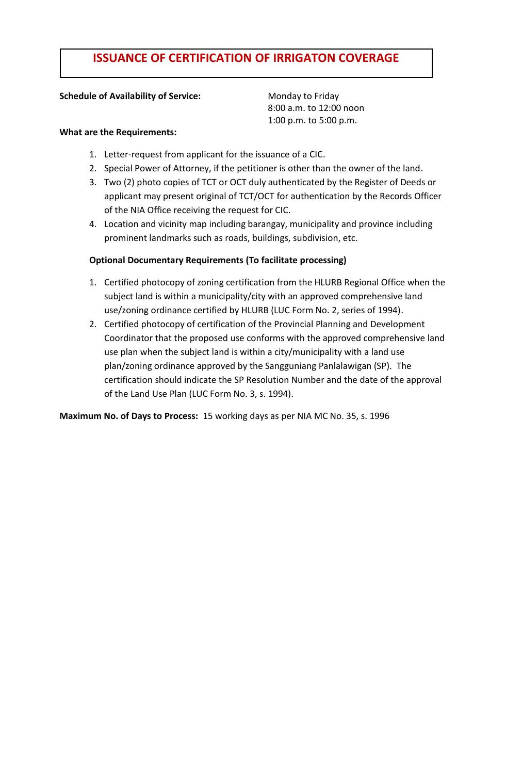# **ISSUANCE OF CERTIFICATION OF IRRIGATON COVERAGE**

## **Schedule of Availability of Service:** Monday to Friday

8:00 a.m. to 12:00 noon 1:00 p.m. to 5:00 p.m.

#### **What are the Requirements:**

- 1. Letter-request from applicant for the issuance of a CIC.
- 2. Special Power of Attorney, if the petitioner is other than the owner of the land.
- 3. Two (2) photo copies of TCT or OCT duly authenticated by the Register of Deeds or applicant may present original of TCT/OCT for authentication by the Records Officer of the NIA Office receiving the request for CIC.
- 4. Location and vicinity map including barangay, municipality and province including prominent landmarks such as roads, buildings, subdivision, etc.

## **Optional Documentary Requirements (To facilitate processing)**

- 1. Certified photocopy of zoning certification from the HLURB Regional Office when the subject land is within a municipality/city with an approved comprehensive land use/zoning ordinance certified by HLURB (LUC Form No. 2, series of 1994).
- 2. Certified photocopy of certification of the Provincial Planning and Development Coordinator that the proposed use conforms with the approved comprehensive land use plan when the subject land is within a city/municipality with a land use plan/zoning ordinance approved by the Sangguniang Panlalawigan (SP). The certification should indicate the SP Resolution Number and the date of the approval of the Land Use Plan (LUC Form No. 3, s. 1994).

**Maximum No. of Days to Process:** 15 working days as per NIA MC No. 35, s. 1996